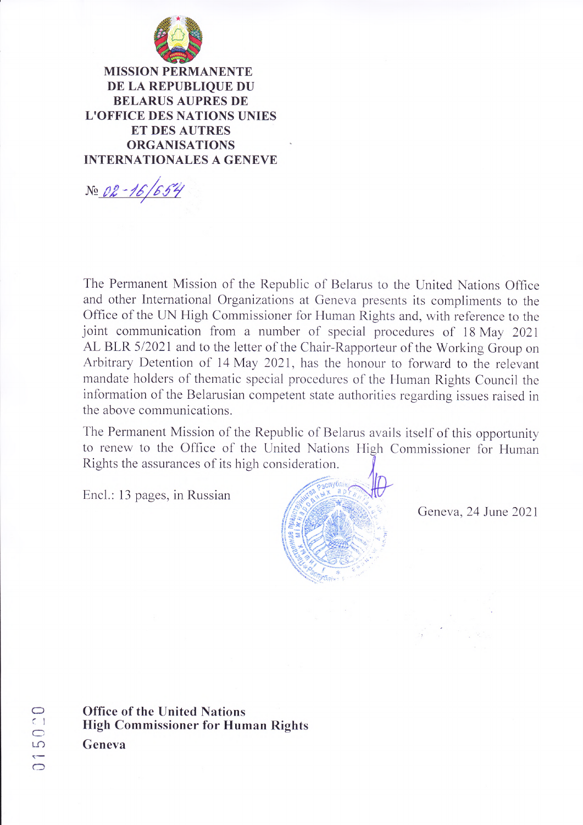

**MISSION PERMANENTE** DE LA REPUBLIQUE DU **BELARUS AUPRES DE L'OFFICE DES NATIONS UNIES ET DES AUTRES ORGANISATIONS INTERNATIONALES A GENEVE** 

No 02-16/654

The Permanent Mission of the Republic of Belarus to the United Nations Office and other International Organizations at Geneva presents its compliments to the Office of the UN High Commissioner for Human Rights and, with reference to the joint communication from a number of special procedures of 18 May 2021 AL BLR 5/2021 and to the letter of the Chair-Rapporteur of the Working Group on Arbitrary Detention of 14 May 2021, has the honour to forward to the relevant mandate holders of thematic special procedures of the Human Rights Council the information of the Belarusian competent state authorities regarding issues raised in the above communications.

The Permanent Mission of the Republic of Belarus avails itself of this opportunity to renew to the Office of the United Nations High Commissioner for Human Rights the assurances of its high consideration.

Encl.: 13 pages, in Russian



Geneva, 24 June 2021

**Office of the United Nations High Commissioner for Human Rights** Geneva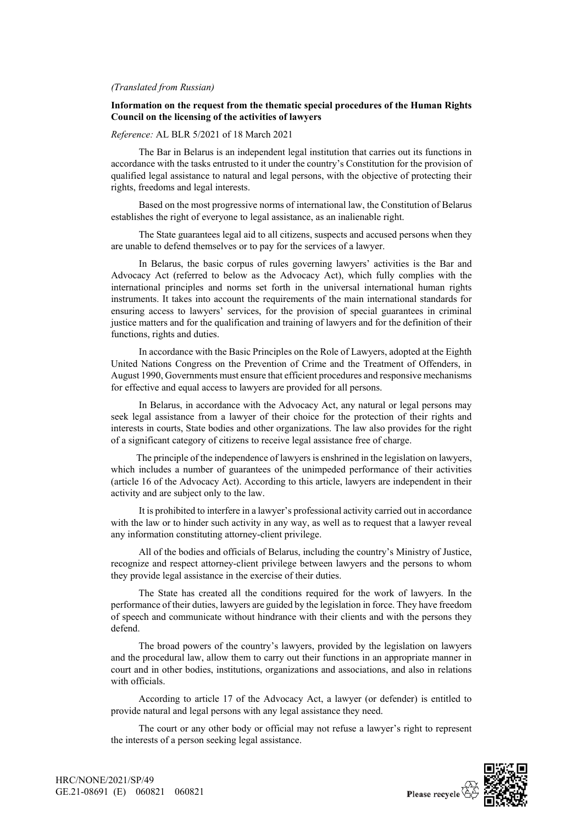#### *(Translated from Russian)*

### **Information on the request from the thematic special procedures of the Human Rights Council on the licensing of the activities of lawyers**

#### *Reference:* AL BLR 5/2021 of 18 March 2021

The Bar in Belarus is an independent legal institution that carries out its functions in accordance with the tasks entrusted to it under the country's Constitution for the provision of qualified legal assistance to natural and legal persons, with the objective of protecting their rights, freedoms and legal interests.

Based on the most progressive norms of international law, the Constitution of Belarus establishes the right of everyone to legal assistance, as an inalienable right.

The State guarantees legal aid to all citizens, suspects and accused persons when they are unable to defend themselves or to pay for the services of a lawyer.

In Belarus, the basic corpus of rules governing lawyers' activities is the Bar and Advocacy Act (referred to below as the Advocacy Act), which fully complies with the international principles and norms set forth in the universal international human rights instruments. It takes into account the requirements of the main international standards for ensuring access to lawyers' services, for the provision of special guarantees in criminal justice matters and for the qualification and training of lawyers and for the definition of their functions, rights and duties.

In accordance with the Basic Principles on the Role of Lawyers, adopted at the Eighth United Nations Congress on the Prevention of Crime and the Treatment of Offenders, in August 1990, Governments must ensure that efficient procedures and responsive mechanisms for effective and equal access to lawyers are provided for all persons.

In Belarus, in accordance with the Advocacy Act, any natural or legal persons may seek legal assistance from a lawyer of their choice for the protection of their rights and interests in courts, State bodies and other organizations. The law also provides for the right of a significant category of citizens to receive legal assistance free of charge.

The principle of the independence of lawyers is enshrined in the legislation on lawyers, which includes a number of guarantees of the unimpeded performance of their activities (article 16 of the Advocacy Act). According to this article, lawyers are independent in their activity and are subject only to the law.

It is prohibited to interfere in a lawyer's professional activity carried out in accordance with the law or to hinder such activity in any way, as well as to request that a lawyer reveal any information constituting attorney-client privilege.

All of the bodies and officials of Belarus, including the country's Ministry of Justice, recognize and respect attorney-client privilege between lawyers and the persons to whom they provide legal assistance in the exercise of their duties.

The State has created all the conditions required for the work of lawyers. In the performance of their duties, lawyers are guided by the legislation in force. They have freedom of speech and communicate without hindrance with their clients and with the persons they defend.

The broad powers of the country's lawyers, provided by the legislation on lawyers and the procedural law, allow them to carry out their functions in an appropriate manner in court and in other bodies, institutions, organizations and associations, and also in relations with officials.

According to article 17 of the Advocacy Act, a lawyer (or defender) is entitled to provide natural and legal persons with any legal assistance they need.

The court or any other body or official may not refuse a lawyer's right to represent the interests of a person seeking legal assistance.

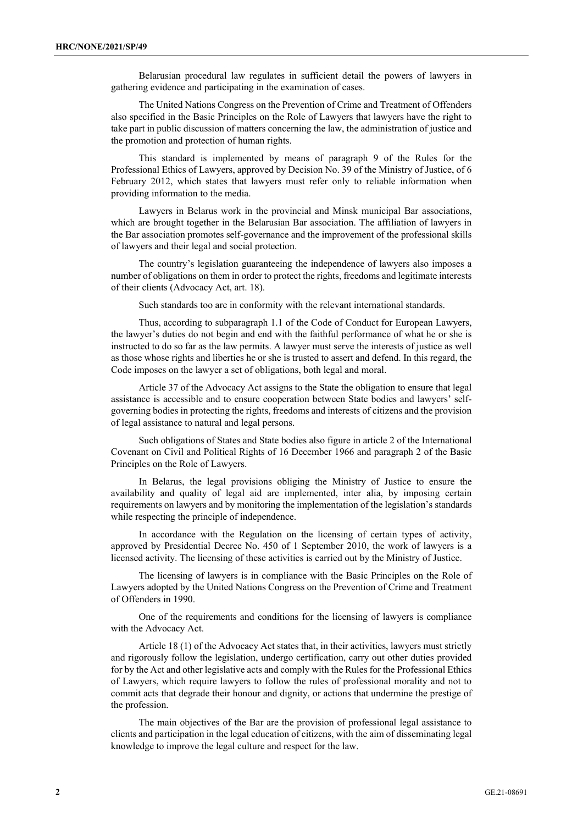Belarusian procedural law regulates in sufficient detail the powers of lawyers in gathering evidence and participating in the examination of cases.

The United Nations Congress on the Prevention of Crime and Treatment of Offenders also specified in the Basic Principles on the Role of Lawyers that lawyers have the right to take part in public discussion of matters concerning the law, the administration of justice and the promotion and protection of human rights.

This standard is implemented by means of paragraph 9 of the Rules for the Professional Ethics of Lawyers, approved by Decision No. 39 of the Ministry of Justice, of 6 February 2012, which states that lawyers must refer only to reliable information when providing information to the media.

Lawyers in Belarus work in the provincial and Minsk municipal Bar associations, which are brought together in the Belarusian Bar association. The affiliation of lawyers in the Bar association promotes self-governance and the improvement of the professional skills of lawyers and their legal and social protection.

The country's legislation guaranteeing the independence of lawyers also imposes a number of obligations on them in order to protect the rights, freedoms and legitimate interests of their clients (Advocacy Act, art. 18).

Such standards too are in conformity with the relevant international standards.

Thus, according to subparagraph 1.1 of the Code of Conduct for European Lawyers, the lawyer's duties do not begin and end with the faithful performance of what he or she is instructed to do so far as the law permits. A lawyer must serve the interests of justice as well as those whose rights and liberties he or she is trusted to assert and defend. In this regard, the Code imposes on the lawyer a set of obligations, both legal and moral.

Article 37 of the Advocacy Act assigns to the State the obligation to ensure that legal assistance is accessible and to ensure cooperation between State bodies and lawyers' selfgoverning bodies in protecting the rights, freedoms and interests of citizens and the provision of legal assistance to natural and legal persons.

Such obligations of States and State bodies also figure in article 2 of the International Covenant on Civil and Political Rights of 16 December 1966 and paragraph 2 of the Basic Principles on the Role of Lawyers.

In Belarus, the legal provisions obliging the Ministry of Justice to ensure the availability and quality of legal aid are implemented, inter alia, by imposing certain requirements on lawyers and by monitoring the implementation of the legislation's standards while respecting the principle of independence.

In accordance with the Regulation on the licensing of certain types of activity, approved by Presidential Decree No. 450 of 1 September 2010, the work of lawyers is a licensed activity. The licensing of these activities is carried out by the Ministry of Justice.

The licensing of lawyers is in compliance with the Basic Principles on the Role of Lawyers adopted by the United Nations Congress on the Prevention of Crime and Treatment of Offenders in 1990.

One of the requirements and conditions for the licensing of lawyers is compliance with the Advocacy Act.

Article 18 (1) of the Advocacy Act states that, in their activities, lawyers must strictly and rigorously follow the legislation, undergo certification, carry out other duties provided for by the Act and other legislative acts and comply with the Rules for the Professional Ethics of Lawyers, which require lawyers to follow the rules of professional morality and not to commit acts that degrade their honour and dignity, or actions that undermine the prestige of the profession.

The main objectives of the Bar are the provision of professional legal assistance to clients and participation in the legal education of citizens, with the aim of disseminating legal knowledge to improve the legal culture and respect for the law.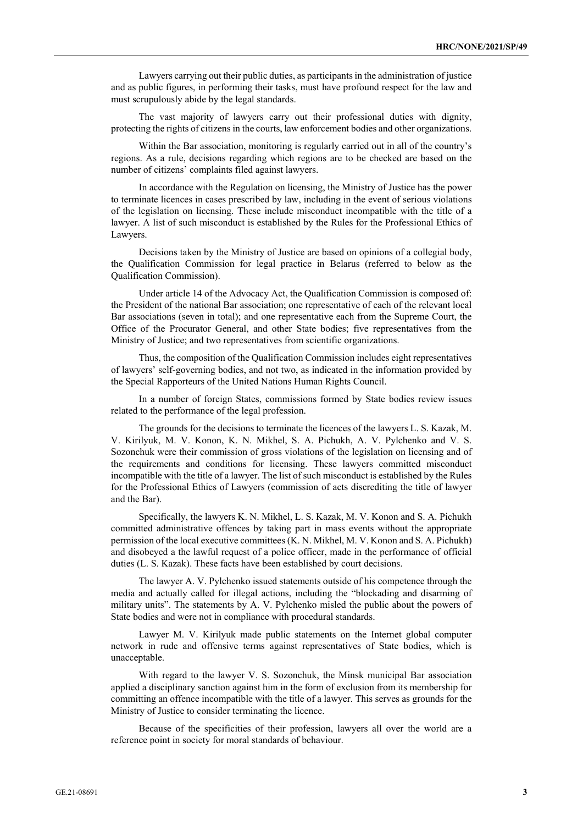Lawyers carrying out their public duties, as participants in the administration of justice and as public figures, in performing their tasks, must have profound respect for the law and must scrupulously abide by the legal standards.

The vast majority of lawyers carry out their professional duties with dignity, protecting the rights of citizens in the courts, law enforcement bodies and other organizations.

Within the Bar association, monitoring is regularly carried out in all of the country's regions. As a rule, decisions regarding which regions are to be checked are based on the number of citizens' complaints filed against lawyers.

In accordance with the Regulation on licensing, the Ministry of Justice has the power to terminate licences in cases prescribed by law, including in the event of serious violations of the legislation on licensing. These include misconduct incompatible with the title of a lawyer. A list of such misconduct is established by the Rules for the Professional Ethics of Lawyers.

Decisions taken by the Ministry of Justice are based on opinions of a collegial body, the Qualification Commission for legal practice in Belarus (referred to below as the Qualification Commission).

Under article 14 of the Advocacy Act, the Qualification Commission is composed of: the President of the national Bar association; one representative of each of the relevant local Bar associations (seven in total); and one representative each from the Supreme Court, the Office of the Procurator General, and other State bodies; five representatives from the Ministry of Justice; and two representatives from scientific organizations.

Thus, the composition of the Qualification Commission includes eight representatives of lawyers' self-governing bodies, and not two, as indicated in the information provided by the Special Rapporteurs of the United Nations Human Rights Council.

In a number of foreign States, commissions formed by State bodies review issues related to the performance of the legal profession.

The grounds for the decisions to terminate the licences of the lawyers L. S. Kazak, M. V. Kirilyuk, M. V. Konon, K. N. Mikhel, S. A. Pichukh, A. V. Pylchenko and V. S. Sozonchuk were their commission of gross violations of the legislation on licensing and of the requirements and conditions for licensing. These lawyers committed misconduct incompatible with the title of a lawyer. The list of such misconduct is established by the Rules for the Professional Ethics of Lawyers (commission of acts discrediting the title of lawyer and the Bar).

Specifically, the lawyers K. N. Mikhel, L. S. Kazak, M. V. Konon and S. A. Pichukh committed administrative offences by taking part in mass events without the appropriate permission of the local executive committees (K. N. Mikhel, M. V. Konon and S. A. Pichukh) and disobeyed a the lawful request of a police officer, made in the performance of official duties (L. S. Kazak). These facts have been established by court decisions.

The lawyer A. V. Pylchenko issued statements outside of his competence through the media and actually called for illegal actions, including the "blockading and disarming of military units". The statements by A. V. Pylchenko misled the public about the powers of State bodies and were not in compliance with procedural standards.

Lawyer M. V. Kirilyuk made public statements on the Internet global computer network in rude and offensive terms against representatives of State bodies, which is unacceptable.

With regard to the lawyer V. S. Sozonchuk, the Minsk municipal Bar association applied a disciplinary sanction against him in the form of exclusion from its membership for committing an offence incompatible with the title of a lawyer. This serves as grounds for the Ministry of Justice to consider terminating the licence.

Because of the specificities of their profession, lawyers all over the world are a reference point in society for moral standards of behaviour.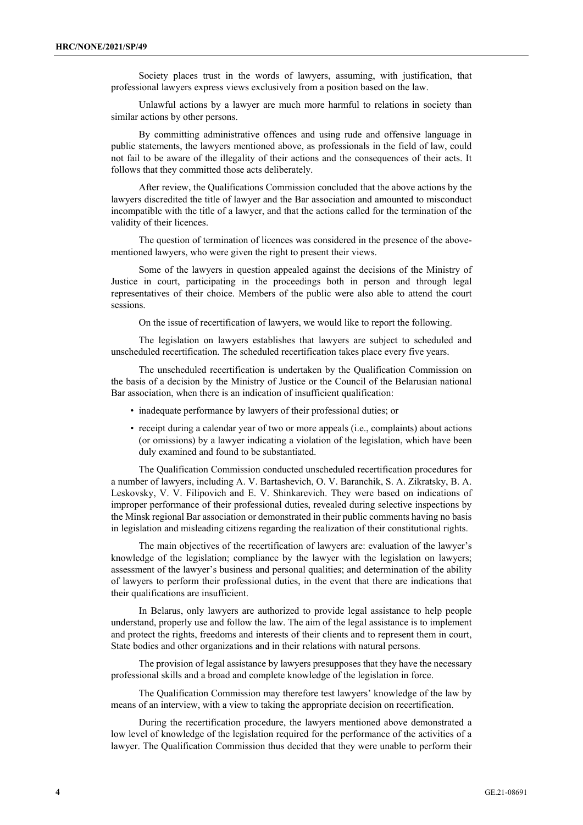Society places trust in the words of lawyers, assuming, with justification, that professional lawyers express views exclusively from a position based on the law.

Unlawful actions by a lawyer are much more harmful to relations in society than similar actions by other persons.

By committing administrative offences and using rude and offensive language in public statements, the lawyers mentioned above, as professionals in the field of law, could not fail to be aware of the illegality of their actions and the consequences of their acts. It follows that they committed those acts deliberately.

After review, the Qualifications Commission concluded that the above actions by the lawyers discredited the title of lawyer and the Bar association and amounted to misconduct incompatible with the title of a lawyer, and that the actions called for the termination of the validity of their licences.

The question of termination of licences was considered in the presence of the abovementioned lawyers, who were given the right to present their views.

Some of the lawyers in question appealed against the decisions of the Ministry of Justice in court, participating in the proceedings both in person and through legal representatives of their choice. Members of the public were also able to attend the court sessions.

On the issue of recertification of lawyers, we would like to report the following.

The legislation on lawyers establishes that lawyers are subject to scheduled and unscheduled recertification. The scheduled recertification takes place every five years.

The unscheduled recertification is undertaken by the Qualification Commission on the basis of a decision by the Ministry of Justice or the Council of the Belarusian national Bar association, when there is an indication of insufficient qualification:

- inadequate performance by lawyers of their professional duties; or
- receipt during a calendar year of two or more appeals (i.e., complaints) about actions (or omissions) by a lawyer indicating a violation of the legislation, which have been duly examined and found to be substantiated.

The Qualification Commission conducted unscheduled recertification procedures for a number of lawyers, including A. V. Bartashevich, O. V. Baranchik, S. A. Zikratsky, B. A. Leskovsky, V. V. Filipovich and E. V. Shinkarevich. They were based on indications of improper performance of their professional duties, revealed during selective inspections by the Minsk regional Bar association or demonstrated in their public comments having no basis in legislation and misleading citizens regarding the realization of their constitutional rights.

The main objectives of the recertification of lawyers are: evaluation of the lawyer's knowledge of the legislation; compliance by the lawyer with the legislation on lawyers; assessment of the lawyer's business and personal qualities; and determination of the ability of lawyers to perform their professional duties, in the event that there are indications that their qualifications are insufficient.

In Belarus, only lawyers are authorized to provide legal assistance to help people understand, properly use and follow the law. The aim of the legal assistance is to implement and protect the rights, freedoms and interests of their clients and to represent them in court, State bodies and other organizations and in their relations with natural persons.

The provision of legal assistance by lawyers presupposes that they have the necessary professional skills and a broad and complete knowledge of the legislation in force.

The Qualification Commission may therefore test lawyers' knowledge of the law by means of an interview, with a view to taking the appropriate decision on recertification.

During the recertification procedure, the lawyers mentioned above demonstrated a low level of knowledge of the legislation required for the performance of the activities of a lawyer. The Qualification Commission thus decided that they were unable to perform their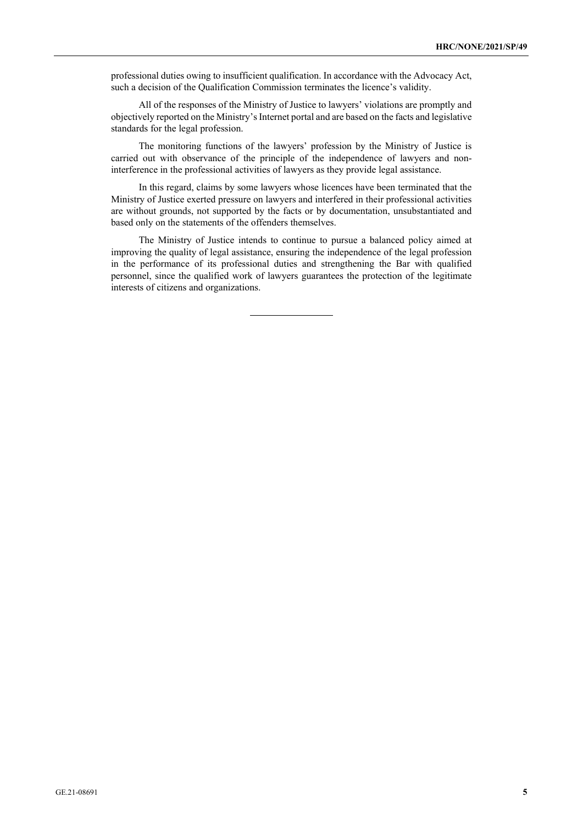professional duties owing to insufficient qualification. In accordance with the Advocacy Act, such a decision of the Qualification Commission terminates the licence's validity.

All of the responses of the Ministry of Justice to lawyers' violations are promptly and objectively reported on the Ministry's Internet portal and are based on the facts and legislative standards for the legal profession.

The monitoring functions of the lawyers' profession by the Ministry of Justice is carried out with observance of the principle of the independence of lawyers and noninterference in the professional activities of lawyers as they provide legal assistance.

In this regard, claims by some lawyers whose licences have been terminated that the Ministry of Justice exerted pressure on lawyers and interfered in their professional activities are without grounds, not supported by the facts or by documentation, unsubstantiated and based only on the statements of the offenders themselves.

The Ministry of Justice intends to continue to pursue a balanced policy aimed at improving the quality of legal assistance, ensuring the independence of the legal profession in the performance of its professional duties and strengthening the Bar with qualified personnel, since the qualified work of lawyers guarantees the protection of the legitimate interests of citizens and organizations.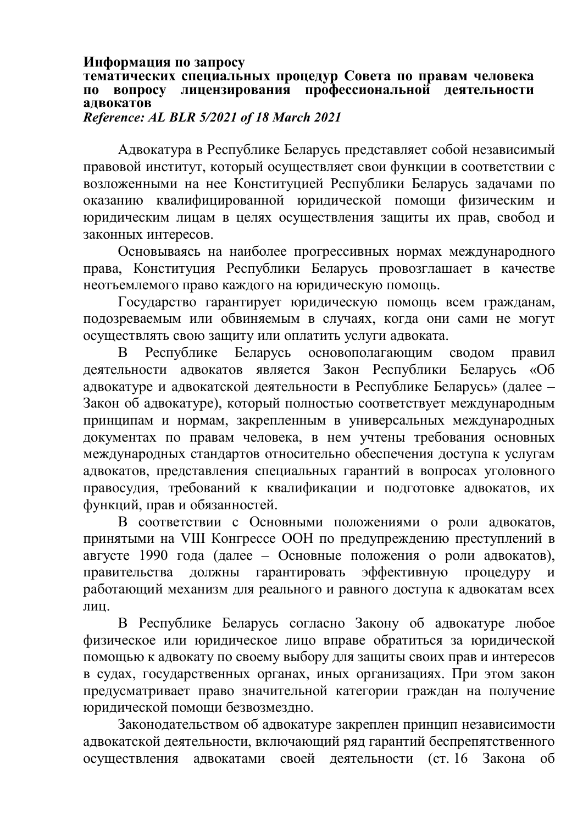## **Информация по запросу**

# **тематических специальных процедур Совета по правам человека по вопросу лицензирования профессиональной деятельности адвокатов**

*Reference: AL BLR 5/2021 of 18 March 2021*

Адвокатура в Республике Беларусь представляет собой независимый правовой институт, который осуществляет свои функции в соответствии с возложенными на нее Конституцией Республики Беларусь задачами по оказанию квалифицированной юридической помощи физическим и юридическим лицам в целях осуществления защиты их прав, свобод и законных интересов.

Основываясь на наиболее прогрессивных нормах международного права, Конституция Республики Беларусь провозглашает в качестве неотъемлемого право каждого на юридическую помощь.

Государство гарантирует юридическую помощь всем гражданам, подозреваемым или обвиняемым в случаях, когда они сами не могут осуществлять свою защиту или оплатить услуги адвоката.

В Республике Беларусь основополагающим сводом правил деятельности адвокатов является Закон Республики Беларусь «Об адвокатуре и адвокатской деятельности в Республике Беларусь» (далее – Закон об адвокатуре), который полностью соответствует международным принципам и нормам, закрепленным в универсальных международных документах по правам человека, в нем учтены требования основных международных стандартов относительно обеспечения доступа к услугам адвокатов, представления специальных гарантий в вопросах уголовного правосудия, требований к квалификации и подготовке адвокатов, их функций, прав и обязанностей.

В соответствии с Основными положениями о роли адвокатов, принятыми на VIII Конгрессе ООН по предупреждению преступлений в августе 1990 года (далее – Основные положения о роли адвокатов), правительства должны гарантировать эффективную процедуру и работающий механизм для реального и равного доступа к адвокатам всех лин.

В Республике Беларусь согласно Закону об адвокатуре любое физическое или юридическое лицо вправе обратиться за юридической помощью к адвокату по своему выбору для защиты своих прав и интересов в судах, государственных органах, иных организациях. При этом закон предусматривает право значительной категории граждан на получение юридической помощи безвозмездно.

Законодательством об адвокатуре закреплен принцип независимости адвокатской деятельности, включающий ряд гарантий беспрепятственного осуществления адвокатами своей деятельности (ст. 16 Закона об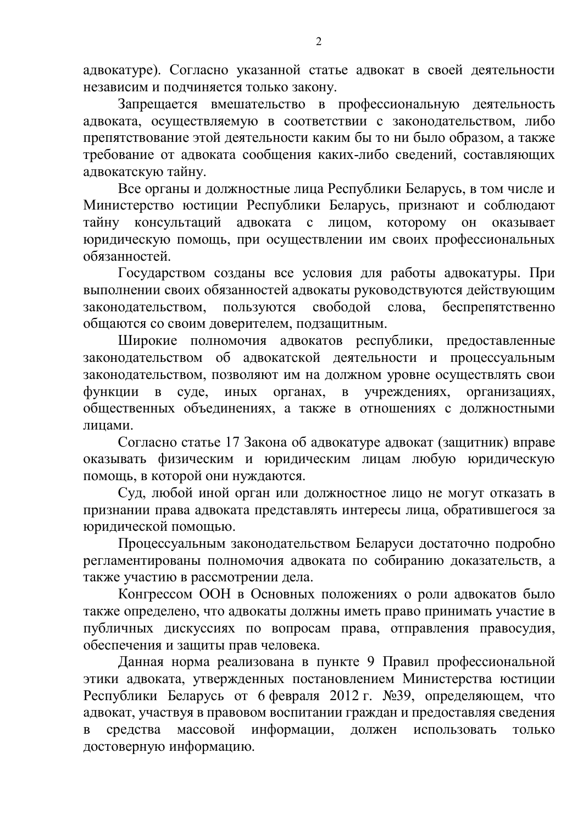адвокатуре). Согласно указанной статье адвокат в своей деятельности независим и подчиняется только закону.

Запрещается вмешательство в профессиональную деятельность адвоката, осуществляемую в соответствии с законодательством, либо препятствование этой деятельности каким бы то ни было образом, а также требование от адвоката сообщения каких-либо сведений, составляющих адвокатскую тайну.

Все органы и должностные лица Республики Беларусь, в том числе и Министерство юстиции Республики Беларусь, признают и соблюдают тайну консультаций адвоката с лицом, которому он оказывает юридическую помощь, при осуществлении им своих профессиональных обязанностей.

Государством созданы все условия для работы адвокатуры. При выполнении своих обязанностей адвокаты руководствуются действующим законодательством, пользуются свободой слова, беспрепятственно общаются со своим доверителем, подзащитным.

Широкие полномочия адвокатов республики, предоставленные законодательством об адвокатской деятельности и процессуальным законодательством, позволяют им на должном уровне осуществлять свои функции в суде, иных органах, в учреждениях, организациях, общественных объединениях, а также в отношениях с должностными лицами.

Согласно статье 17 Закона об адвокатуре адвокат (защитник) вправе оказывать физическим и юридическим лицам любую юридическую помощь, в которой они нуждаются.

Суд, любой иной орган или должностное лицо не могут отказать в признании права адвоката представлять интересы лица, обратившегося за юридической помощью.

Процессуальным законодательством Беларуси достаточно подробно регламентированы полномочия адвоката по собиранию доказательств, а также участию в рассмотрении дела.

Конгрессом ООН в Основных положениях о роли адвокатов было также определено, что адвокаты должны иметь право принимать участие в публичных дискуссиях по вопросам права, отправления правосудия, обеспечения и защиты прав человека.

Данная норма реализована в пункте 9 Правил профессиональной этики адвоката, утвержденных постановлением Министерства юстиции Республики Беларусь от 6 февраля 2012 г. №39, определяющем, что адвокат, участвуя в правовом воспитании граждан и предоставляя сведения в средства массовой информации, должен использовать только достоверную информацию.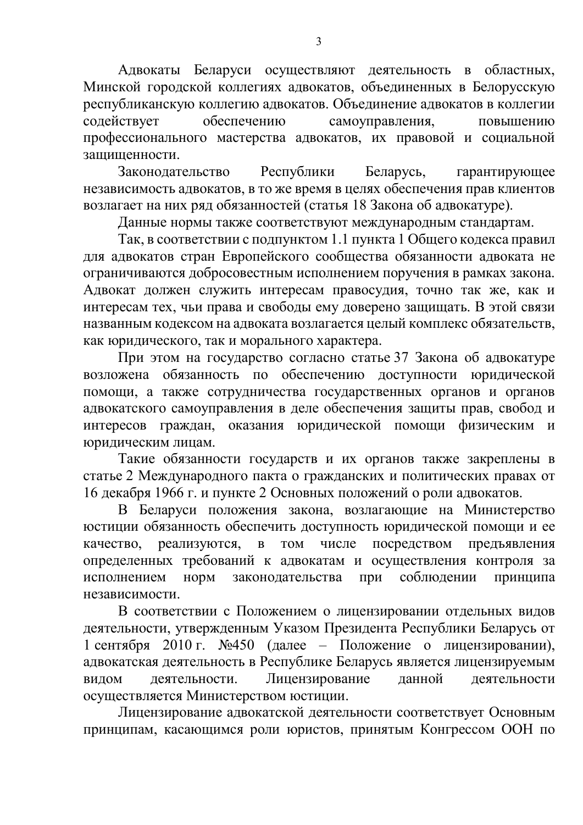Адвокаты Беларуси осуществляют деятельность в областных, Минской городской коллегиях адвокатов, объединенных в Белорусскую республиканскую коллегию адвокатов. Объединение адвокатов в коллегии содействует обеспечению самоуправления, повышению профессионального мастерства адвокатов, их правовой и социальной защищенности.

Законодательство Республики Беларусь, гарантирующее независимость адвокатов, в то же время в целях обеспечения прав клиентов возлагает на них ряд обязанностей (статья 18 Закона об адвокатуре).

Данные нормы также соответствуют международным стандартам.

Так, в соответствии с подпунктом 1.1 пункта 1 Общего кодекса правил для адвокатов стран Европейского сообщества обязанности адвоката не ограничиваются добросовестным исполнением поручения в рамках закона. Адвокат должен служить интересам правосудия, точно так же, как и интересам тех, чьи права и свободы ему доверено защищать. В этой связи названным кодексом на адвоката возлагается целый комплекс обязательств, как юридического, так и морального характера.

При этом на государство согласно статье 37 Закона об адвокатуре возложена обязанность по обеспечению доступности юридической помощи, а также сотрудничества государственных органов и органов адвокатского самоуправления в деле обеспечения защиты прав, свобод и интересов граждан, оказания юридической помощи физическим и юридическим лицам.

Такие обязанности государств и их органов также закреплены в статье 2 Международного пакта о гражданских и политических правах от 16 декабря 1966 г. и пункте 2 Основных положений о роли адвокатов.

В Беларуси положения закона, возлагающие на Министерство юстиции обязанность обеспечить доступность юридической помощи и ее качество, реализуются, в том числе посредством предъявления определенных требований к адвокатам и осуществления контроля за исполнением норм законодательства при соблюдении принципа независимости.

В соответствии с Положением о лицензировании отдельных видов деятельности, утвержденным Указом Президента Республики Беларусь от 1 сентября 2010 г. №450 (далее – Положение о лицензировании), адвокатская деятельность в Республике Беларусь является лицензируемым видом деятельности. Лицензирование данной деятельности осуществляется Министерством юстиции.

Лицензирование адвокатской деятельности соответствует Основным принципам, касающимся роли юристов, принятым Конгрессом ООН по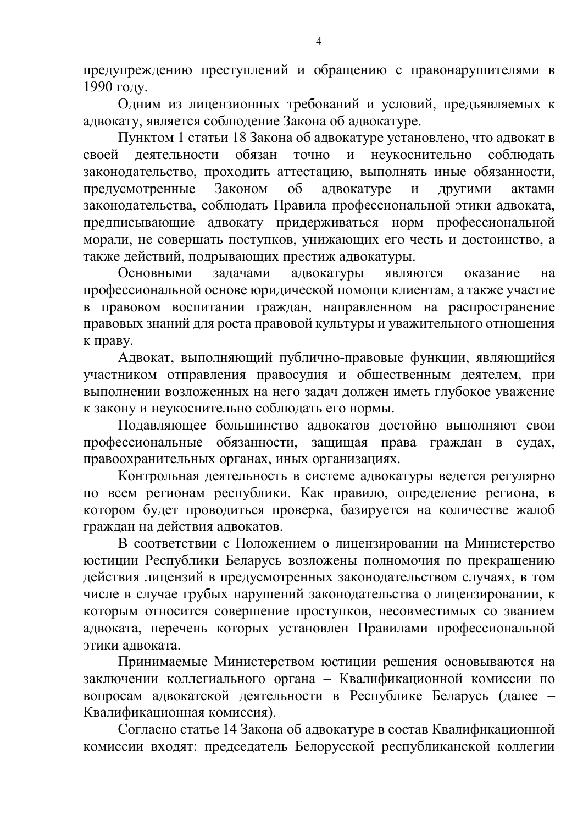предупреждению преступлений и обращению с правонарушителями в 1990 году.

Одним из лицензионных требований и условий, предъявляемых к адвокату, является соблюдение Закона об адвокатуре.

Пунктом 1 статьи 18 Закона об адвокатуре установлено, что адвокат в своей деятельности обязан точно и неукоснительно соблюдать законодательство, проходить аттестацию, выполнять иные обязанности, предусмотренные Законом об адвокатуре и другими актами законодательства, соблюдать Правила профессиональной этики адвоката, предписывающие адвокату придерживаться норм профессиональной морали, не совершать поступков, унижающих его честь и достоинство, а также действий, подрывающих престиж адвокатуры.

Основными задачами адвокатуры являются оказание на профессиональной основе юридической помощи клиентам, а также участие в правовом воспитании граждан, направленном на распространение правовых знаний для роста правовой культуры и уважительного отношения к праву.

Адвокат, выполняющий публично-правовые функции, являющийся участником отправления правосудия и общественным деятелем, при выполнении возложенных на него задач должен иметь глубокое уважение к закону и неукоснительно соблюдать его нормы.

Подавляющее большинство адвокатов достойно выполняют свои профессиональные обязанности, защищая права граждан в судах, правоохранительных органах, иных организациях.

Контрольная деятельность в системе адвокатуры ведется регулярно по всем регионам республики. Как правило, определение региона, в котором будет проводиться проверка, базируется на количестве жалоб граждан на действия адвокатов.

В соответствии с Положением о лицензировании на Министерство юстиции Республики Беларусь возложены полномочия по прекращению действия лицензий в предусмотренных законодательством случаях, в том числе в случае грубых нарушений законодательства о лицензировании, к которым относится совершение проступков, несовместимых со званием адвоката, перечень которых установлен Правилами профессиональной этики адвоката.

Принимаемые Министерством юстиции решения основываются на заключении коллегиального органа – Квалификационной комиссии по вопросам адвокатской деятельности в Республике Беларусь (далее – Квалификационная комиссия).

Согласно статье 14 Закона об адвокатуре в состав Квалификационной комиссии входят: председатель Белорусской республиканской коллегии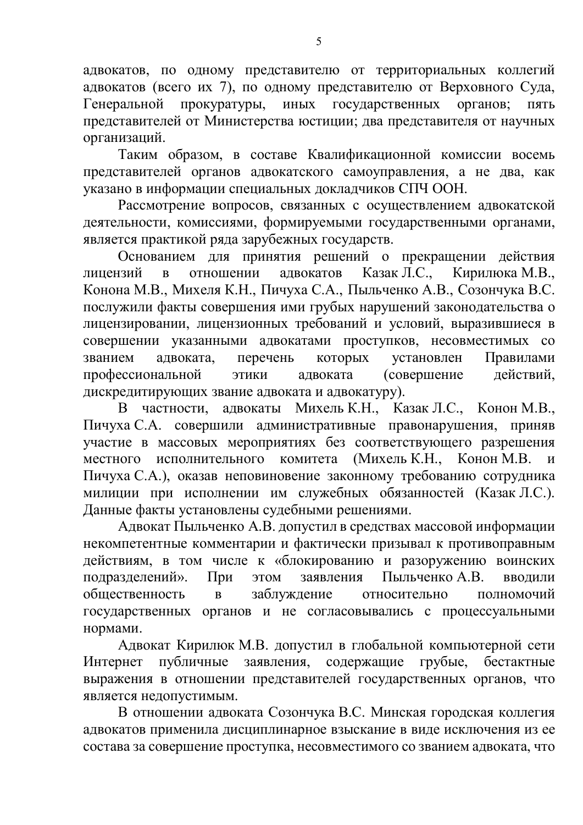адвокатов, по одному представителю от территориальных коллегий адвокатов (всего их 7), по одному представителю от Верховного Суда, Генеральной прокуратуры, иных государственных органов; пять представителей от Министерства юстиции; два представителя от научных организаций.

Таким образом, в составе Квалификационной комиссии восемь представителей органов адвокатского самоуправления, а не два, как указано в информации специальных докладчиков СПЧ ООН.

Рассмотрение вопросов, связанных с осуществлением адвокатской деятельности, комиссиями, формируемыми государственными органами, является практикой ряда зарубежных государств.

Основанием для принятия решений о прекращении действия лицензий в отношении адвокатов Казак Л.С., Кирилюка М.В., Конона М.В., Михеля К.Н., Пичуха С.А., Пыльченко А.В., Созончука В.С. послужили факты совершения ими грубых нарушений законодательства о лицензировании, лицензионных требований и условий, выразившиеся в совершении указанными адвокатами проступков, несовместимых со званием адвоката, перечень которых установлен Правилами профессиональной этики адвоката (совершение действий, дискредитирующих звание адвоката и адвокатуру).

В частности, адвокаты Михель К.Н., Казак Л.С., Конон М.В., Пичуха С.А. совершили административные правонарушения, приняв участие в массовых мероприятиях без соответствующего разрешения местного исполнительного комитета (Михель К.Н., Конон М.В. и Пичуха С.А.), оказав неповиновение законному требованию сотрудника милиции при исполнении им служебных обязанностей (Казак Л.С.). Данные факты установлены судебными решениями.

Адвокат Пыльченко А.В. допустил в средствах массовой информации некомпетентные комментарии и фактически призывал к противоправным действиям, в том числе к «блокированию и разоружению воинских подразделений». При этом заявления Пыльченко А.В. вводили общественность в заблуждение относительно полномочий государственных органов и не согласовывались с процессуальными нормами.

Адвокат Кирилюк М.В. допустил в глобальной компьютерной сети Интернет публичные заявления, содержащие грубые, бестактные выражения в отношении представителей государственных органов, что является недопустимым.

В отношении адвоката Созончука В.С. Минская городская коллегия адвокатов применила дисциплинарное взыскание в виде исключения из ее состава за совершение проступка, несовместимого со званием адвоката, что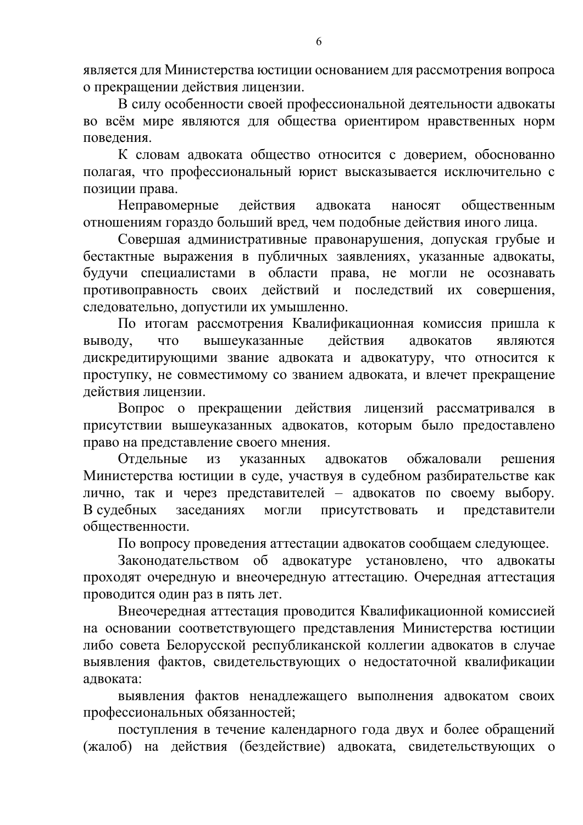является для Министерства юстиции основанием для рассмотрения вопроса о прекращении действия лицензии.

В силу особенности своей профессиональной деятельности адвокаты во всём мире являются для общества ориентиром нравственных норм поведения.

К словам адвоката общество относится с доверием, обоснованно полагая, что профессиональный юрист высказывается исключительно с позиции права.

Неправомерные действия адвоката наносят общественным отношениям гораздо больший вред, чем подобные действия иного лица.

Совершая административные правонарушения, допуская грубые и бестактные выражения в публичных заявлениях, указанные адвокаты, будучи специалистами в области права, не могли не осознавать противоправность своих действий и последствий их совершения, следовательно, допустили их умышленно.

По итогам рассмотрения Квалификационная комиссия пришла к выводу, что вышеуказанные действия адвокатов являются дискредитирующими звание адвоката и адвокатуру, что относится к проступку, не совместимому со званием адвоката, и влечет прекращение действия лицензии.

Вопрос о прекращении действия лицензий рассматривался в присутствии вышеуказанных адвокатов, которым было предоставлено право на представление своего мнения.

Отдельные из указанных адвокатов обжаловали решения Министерства юстиции в суде, участвуя в судебном разбирательстве как лично, так и через представителей – адвокатов по своему выбору. В судебных заседаниях могли присутствовать и представители общественности.

По вопросу проведения аттестации адвокатов сообщаем следующее.

Законодательством об адвокатуре установлено, что адвокаты проходят очередную и внеочередную аттестацию. Очередная аттестация проводится один раз в пять лет.

Внеочередная аттестация проводится Квалификационной комиссией на основании соответствующего представления Министерства юстиции либо совета Белорусской республиканской коллегии адвокатов в случае выявления фактов, свидетельствующих о недостаточной квалификации адвоката:

выявления фактов ненадлежащего выполнения адвокатом своих профессиональных обязанностей;

поступления в течение календарного года двух и более обращений (жалоб) на действия (бездействие) адвоката, свидетельствующих о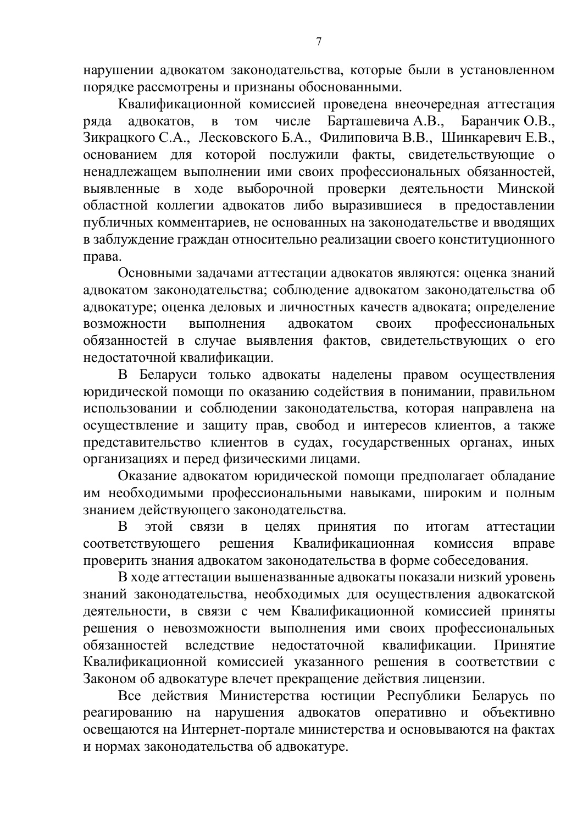нарушении адвокатом законодательства, которые были в установленном порядке рассмотрены и признаны обоснованными.

Квалификационной комиссией проведена внеочередная аттестация ряда адвокатов, в том числе Барташевича А.В., Баранчик О.В., Зикрацкого С.А., Лесковского Б.А., Филиповича В.В., Шинкаревич Е.В., основанием для которой послужили факты, свидетельствующие о ненадлежащем выполнении ими своих профессиональных обязанностей, выявленные в ходе выборочной проверки деятельности Минской областной коллегии адвокатов либо выразившиеся в предоставлении публичных комментариев, не основанных на законодательстве и вводящих в заблуждение граждан относительно реализации своего конституционного права.

Основными задачами аттестации адвокатов являются: оценка знаний адвокатом законодательства; соблюдение адвокатом законодательства об адвокатуре; оценка деловых и личностных качеств адвоката; определение возможности выполнения адвокатом своих профессиональных обязанностей в случае выявления фактов, свидетельствующих о его недостаточной квалификации.

В Беларуси только адвокаты наделены правом осуществления юридической помощи по оказанию содействия в понимании, правильном использовании и соблюдении законодательства, которая направлена на осуществление и защиту прав, свобод и интересов клиентов, а также представительство клиентов в судах, государственных органах, иных организациях и перед физическими лицами.

Оказание адвокатом юридической помощи предполагает обладание им необходимыми профессиональными навыками, широким и полным знанием действующего законодательства.

В этой связи в целях принятия по итогам аттестации соответствующего решения Квалификационная комиссия вправе проверить знания адвокатом законодательства в форме собеседования.

В ходе аттестации вышеназванные адвокаты показали низкий уровень знаний законодательства, необходимых для осуществления адвокатской деятельности, в связи с чем Квалификационной комиссией приняты решения о невозможности выполнения ими своих профессиональных обязанностей вследствие недостаточной квалификации. Принятие Квалификационной комиссией указанного решения в соответствии с Законом об адвокатуре влечет прекращение действия лицензии.

Все действия Министерства юстиции Республики Беларусь по реагированию на нарушения адвокатов оперативно и объективно освещаются на Интернет-портале министерства и основываются на фактах и нормах законодательства об адвокатуре.